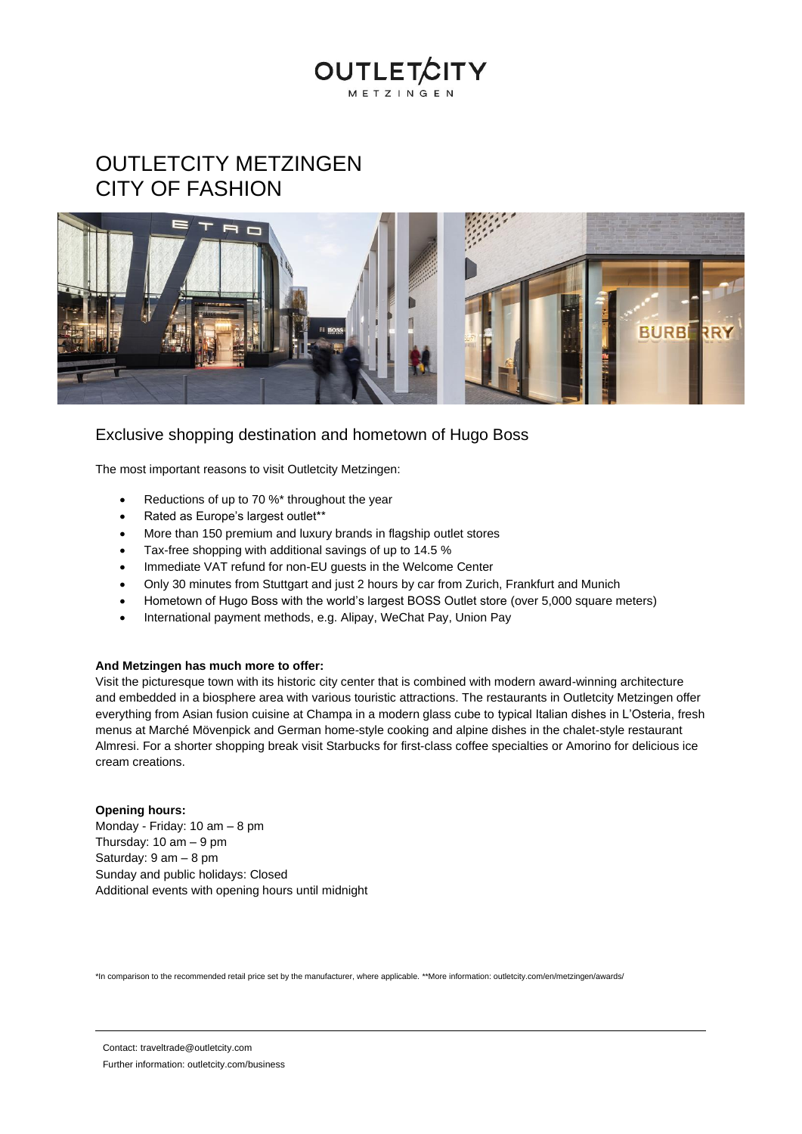# OUTLETCITY METZINGEN CITY OF FASHION



**OUTLET** 

METZINGEN

#### Exclusive shopping destination and hometown of Hugo Boss

The most important reasons to visit Outletcity Metzingen:

- Reductions of up to 70 %\* throughout the year
- Rated as Europe's largest outlet\*\*
- More than 150 premium and luxury brands in flagship outlet stores
- Tax-free shopping with additional savings of up to 14.5 %
- Immediate VAT refund for non-EU guests in the Welcome Center
- Only 30 minutes from Stuttgart and just 2 hours by car from Zurich, Frankfurt and Munich
- Hometown of Hugo Boss with the world's largest BOSS Outlet store (over 5,000 square meters)
- International payment methods, e.g. Alipay, WeChat Pay, Union Pay

#### **And Metzingen has much more to offer:**

Visit the picturesque town with its historic city center that is combined with modern award-winning architecture and embedded in a biosphere area with various touristic attractions. The restaurants in Outletcity Metzingen offer everything from Asian fusion cuisine at Champa in a modern glass cube to typical Italian dishes in L'Osteria, fresh menus at Marché Mövenpick and German home-style cooking and alpine dishes in the chalet-style restaurant Almresi. For a shorter shopping break visit Starbucks for first-class coffee specialties or Amorino for delicious ice cream creations.

#### **Opening hours:**

Monday - Friday: 10 am – 8 pm Thursday:  $10 \text{ am} - 9 \text{ pm}$ Saturday: 9 am – 8 pm Sunday and public holidays: Closed Additional events with opening hours until midnight

\*In comparison to the recommended retail price set by the manufacturer, where applicable. \*\*More information: outletcity.com/en/metzingen/awards/

Contact: traveltrade@outletcity.com

Further information: outletcity.com/business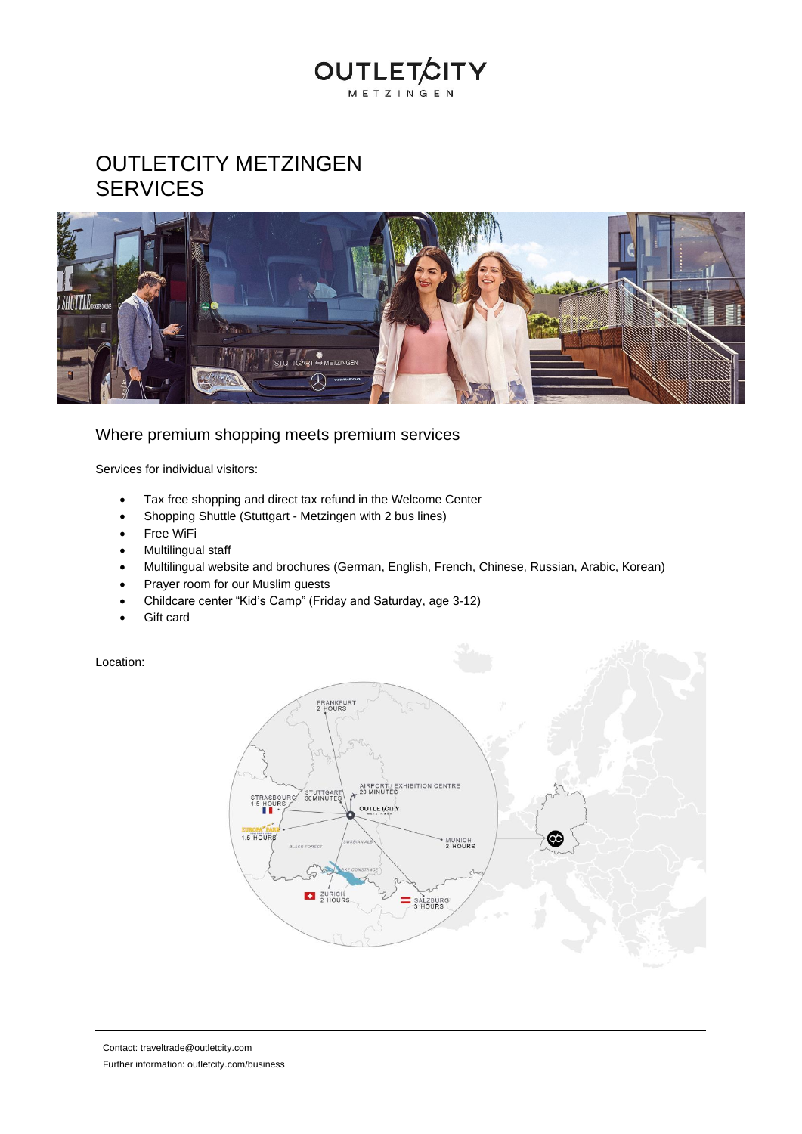## **OUTLETCITY** METZINGEN

## OUTLETCITY METZINGEN **SERVICES**



### Where premium shopping meets premium services

Services for individual visitors:

- Tax free shopping and direct tax refund in the Welcome Center
- Shopping Shuttle (Stuttgart Metzingen with 2 bus lines)
- Free WiFi
- Multilingual staff
- Multilingual website and brochures (German, English, French, Chinese, Russian, Arabic, Korean)
- Prayer room for our Muslim guests
- Childcare center "Kid's Camp" (Friday and Saturday, age 3-12)
- Gift card

Location: